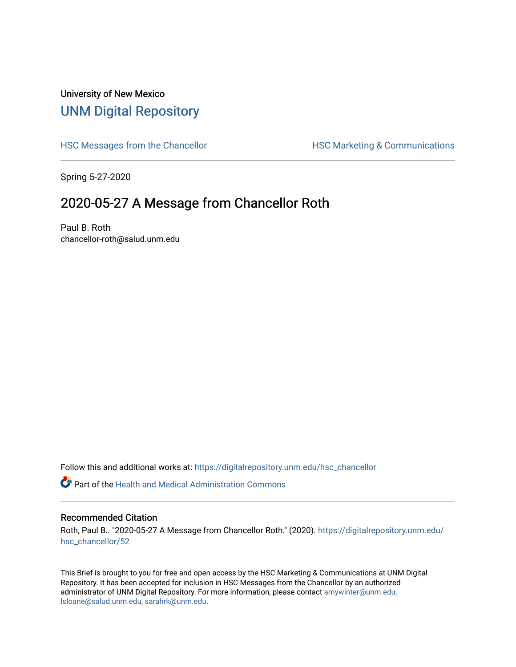## University of New Mexico [UNM Digital Repository](https://digitalrepository.unm.edu/)

[HSC Messages from the Chancellor](https://digitalrepository.unm.edu/hsc_chancellor) **HSC Marketing & Communications** 

Spring 5-27-2020

## 2020-05-27 A Message from Chancellor Roth

Paul B. Roth chancellor-roth@salud.unm.edu

Follow this and additional works at: [https://digitalrepository.unm.edu/hsc\\_chancellor](https://digitalrepository.unm.edu/hsc_chancellor?utm_source=digitalrepository.unm.edu%2Fhsc_chancellor%2F52&utm_medium=PDF&utm_campaign=PDFCoverPages) 

 $\bullet$  Part of the [Health and Medical Administration Commons](http://network.bepress.com/hgg/discipline/663?utm_source=digitalrepository.unm.edu%2Fhsc_chancellor%2F52&utm_medium=PDF&utm_campaign=PDFCoverPages)

## Recommended Citation

Roth, Paul B.. "2020-05-27 A Message from Chancellor Roth." (2020). [https://digitalrepository.unm.edu/](https://digitalrepository.unm.edu/hsc_chancellor/52?utm_source=digitalrepository.unm.edu%2Fhsc_chancellor%2F52&utm_medium=PDF&utm_campaign=PDFCoverPages) [hsc\\_chancellor/52](https://digitalrepository.unm.edu/hsc_chancellor/52?utm_source=digitalrepository.unm.edu%2Fhsc_chancellor%2F52&utm_medium=PDF&utm_campaign=PDFCoverPages) 

This Brief is brought to you for free and open access by the HSC Marketing & Communications at UNM Digital Repository. It has been accepted for inclusion in HSC Messages from the Chancellor by an authorized administrator of UNM Digital Repository. For more information, please contact [amywinter@unm.edu,](mailto:amywinter@unm.edu,%20lsloane@salud.unm.edu,%20sarahrk@unm.edu) [lsloane@salud.unm.edu, sarahrk@unm.edu.](mailto:amywinter@unm.edu,%20lsloane@salud.unm.edu,%20sarahrk@unm.edu)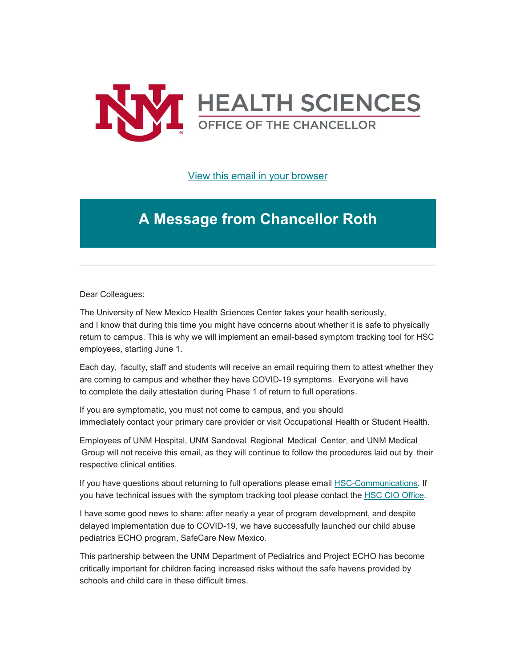

[View this email in your browser](https://mailchi.mp/587fa646af40/message-from-the-chancellor-coronavirus-4424180?e=b4bbfca2c0)

## **A Message from Chancellor Roth**

Dear Colleagues:

The University of New Mexico Health Sciences Center takes your health seriously, and I know that during this time you might have concerns about whether it is safe to physically return to campus. This is why we will implement an email-based symptom tracking tool for HSC employees, starting June 1.

Each day,  faculty, staff and students will receive an email requiring them to attest whether they are coming to campus and whether they have COVID-19 symptoms.  Everyone will have to complete the daily attestation during Phase 1 of return to full operations. 

If you are symptomatic, you must not come to campus, and you should immediately contact your primary care provider or visit Occupational Health or Student Health.

Employees of UNM Hospital, UNM Sandoval  Regional  Medical  Center, and UNM Medical Group will not receive this email, as they will continue to follow the procedures laid out by  their respective clinical entities.

If you have questions about returning to full operations please email [HSC-Communications.](https://unm.us19.list-manage.com/track/click?u=59ce53c1a4dedb490bac78648&id=8f710d74e9&e=b4bbfca2c0) If you have technical issues with the symptom tracking tool please contact the [HSC CIO Office.](https://unm.us19.list-manage.com/track/click?u=59ce53c1a4dedb490bac78648&id=7e7f4345d2&e=b4bbfca2c0)

I have some good news to share: after nearly a year of program development, and despite delayed implementation due to COVID-19, we have successfully launched our child abuse pediatrics ECHO program, SafeCare New Mexico.

This partnership between the UNM Department of Pediatrics and Project ECHO has become critically important for children facing increased risks without the safe havens provided by schools and child care in these difficult times.